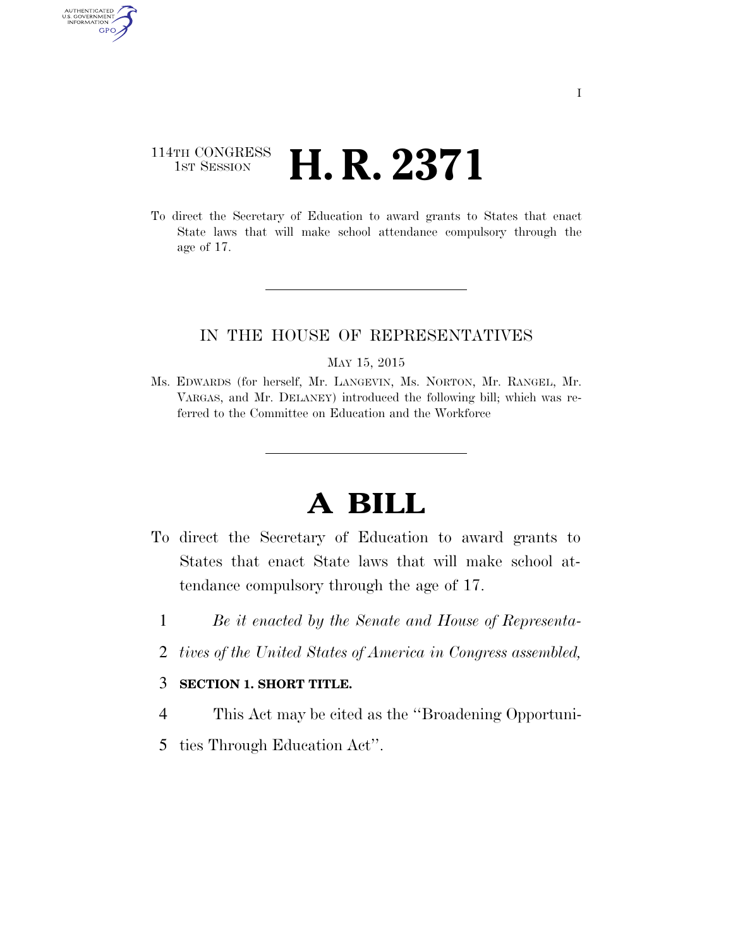### 114TH CONGRESS <sup>TH CONGRESS</sup> **H. R. 2371**

AUTHENTICATED U.S. GOVERNMENT GPO

> To direct the Secretary of Education to award grants to States that enact State laws that will make school attendance compulsory through the age of 17.

### IN THE HOUSE OF REPRESENTATIVES

MAY 15, 2015

Ms. EDWARDS (for herself, Mr. LANGEVIN, Ms. NORTON, Mr. RANGEL, Mr. VARGAS, and Mr. DELANEY) introduced the following bill; which was referred to the Committee on Education and the Workforce

# **A BILL**

- To direct the Secretary of Education to award grants to States that enact State laws that will make school attendance compulsory through the age of 17.
	- 1 *Be it enacted by the Senate and House of Representa-*
	- 2 *tives of the United States of America in Congress assembled,*

#### 3 **SECTION 1. SHORT TITLE.**

- 4 This Act may be cited as the ''Broadening Opportuni-
- 5 ties Through Education Act''.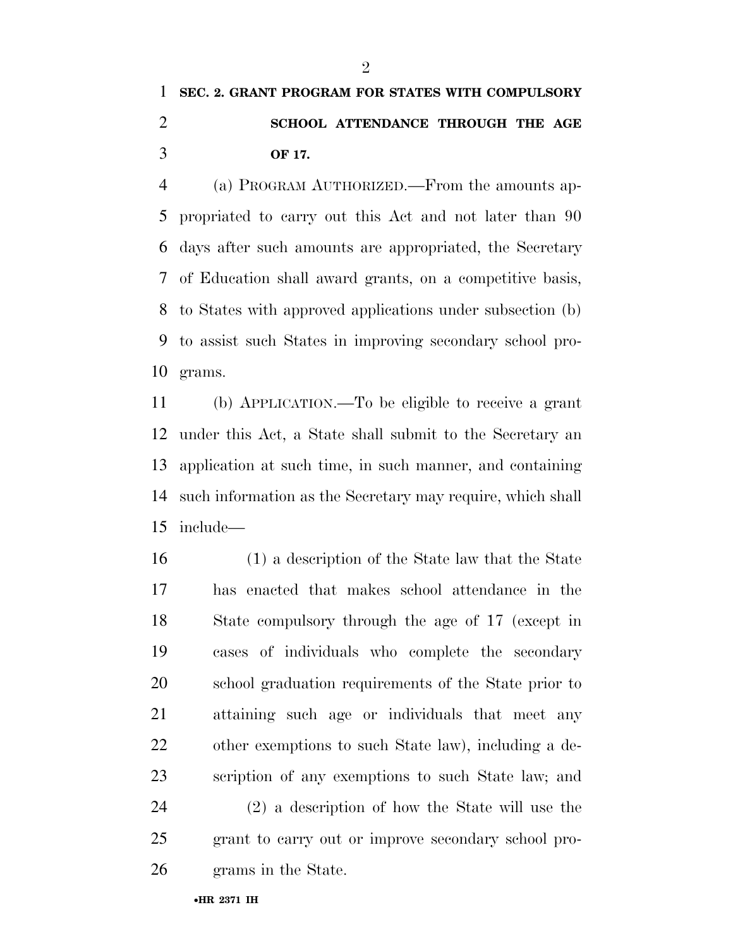## **SEC. 2. GRANT PROGRAM FOR STATES WITH COMPULSORY SCHOOL ATTENDANCE THROUGH THE AGE OF 17.**

 (a) PROGRAM AUTHORIZED.—From the amounts ap- propriated to carry out this Act and not later than 90 days after such amounts are appropriated, the Secretary of Education shall award grants, on a competitive basis, to States with approved applications under subsection (b) to assist such States in improving secondary school pro-grams.

 (b) APPLICATION.—To be eligible to receive a grant under this Act, a State shall submit to the Secretary an application at such time, in such manner, and containing such information as the Secretary may require, which shall include—

 (1) a description of the State law that the State has enacted that makes school attendance in the State compulsory through the age of 17 (except in cases of individuals who complete the secondary school graduation requirements of the State prior to attaining such age or individuals that meet any other exemptions to such State law), including a de- scription of any exemptions to such State law; and (2) a description of how the State will use the grant to carry out or improve secondary school pro-grams in the State.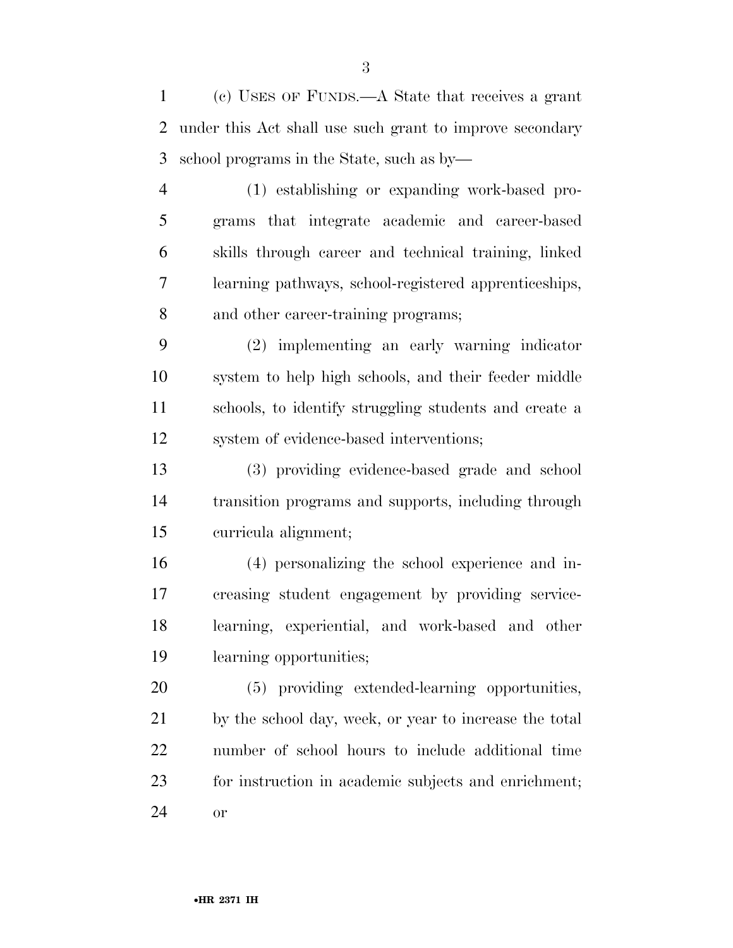(c) USES OF FUNDS.—A State that receives a grant under this Act shall use such grant to improve secondary school programs in the State, such as by—

 (1) establishing or expanding work-based pro- grams that integrate academic and career-based skills through career and technical training, linked learning pathways, school-registered apprenticeships, and other career-training programs;

 (2) implementing an early warning indicator system to help high schools, and their feeder middle schools, to identify struggling students and create a system of evidence-based interventions;

 (3) providing evidence-based grade and school transition programs and supports, including through curricula alignment;

 (4) personalizing the school experience and in- creasing student engagement by providing service- learning, experiential, and work-based and other learning opportunities;

 (5) providing extended-learning opportunities, by the school day, week, or year to increase the total number of school hours to include additional time for instruction in academic subjects and enrichment; or